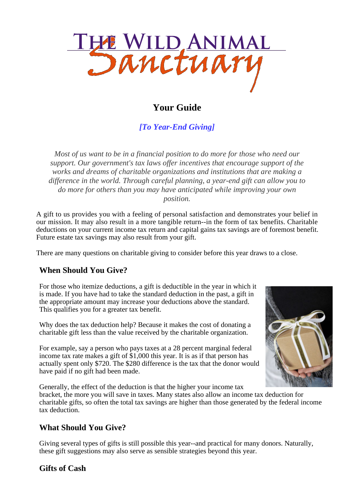

# **Your Guide**

*[To Year-End Giving]*

*Most of us want to be in a financial position to do more for those who need our support. Our government's tax laws offer incentives that encourage support of the works and dreams of charitable organizations and institutions that are making a difference in the world. Through careful planning, a year-end gift can allow you to do more for others than you may have anticipated while improving your own position.*

A gift to us provides you with a feeling of personal satisfaction and demonstrates your belief in our mission. It may also result in a more tangible return--in the form of tax benefits. Charitable deductions on your current income tax return and capital gains tax savings are of foremost benefit. Future estate tax savings may also result from your gift.

There are many questions on charitable giving to consider before this year draws to a close.

# **When Should You Give?**

For those who itemize deductions, a gift is deductible in the year in which it is made. If you have had to take the standard deduction in the past, a gift in the appropriate amount may increase your deductions above the standard. This qualifies you for a greater tax benefit.

Why does the tax deduction help? Because it makes the cost of donating a charitable gift less than the value received by the charitable organization.

For example, say a person who pays taxes at a 28 percent marginal federal income tax rate makes a gift of \$1,000 this year. It is as if that person has actually spent only \$720. The \$280 difference is the tax that the donor would have paid if no gift had been made.

Generally, the effect of the deduction is that the higher your income tax bracket, the more you will save in taxes. Many states also allow an income tax deduction for charitable gifts, so often the total tax savings are higher than those generated by the federal income tax deduction.

### **What Should You Give?**

Giving several types of gifts is still possible this year--and practical for many donors. Naturally, these gift suggestions may also serve as sensible strategies beyond this year.



### **Gifts of Cash**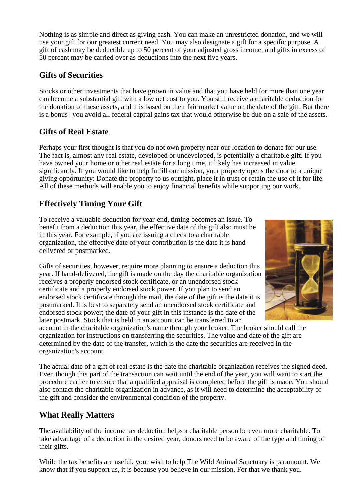Nothing is as simple and direct as giving cash. You can make an unrestricted donation, and we will use your gift for our greatest current need. You may also designate a gift for a specific purpose. A gift of cash may be deductible up to 50 percent of your adjusted gross income, and gifts in excess of 50 percent may be carried over as deductions into the next five years.

### **Gifts of Securities**

Stocks or other investments that have grown in value and that you have held for more than one year can become a substantial gift with a low net cost to you. You still receive a charitable deduction for the donation of these assets, and it is based on their fair market value on the date of the gift. But there is a bonus--you avoid all federal capital gains tax that would otherwise be due on a sale of the assets.

# **Gifts of Real Estate**

Perhaps your first thought is that you do not own property near our location to donate for our use. The fact is, almost any real estate, developed or undeveloped, is potentially a charitable gift. If you have owned your home or other real estate for a long time, it likely has increased in value significantly. If you would like to help fulfill our mission, your property opens the door to a unique giving opportunity: Donate the property to us outright, place it in trust or retain the use of it for life. All of these methods will enable you to enjoy financial benefits while supporting our work.

# **Effectively Timing Your Gift**

To receive a valuable deduction for year-end, timing becomes an issue. To benefit from a deduction this year, the effective date of the gift also must be in this year. For example, if you are issuing a check to a charitable organization, the effective date of your contribution is the date it is handdelivered or postmarked.

Gifts of securities, however, require more planning to ensure a deduction this year. If hand-delivered, the gift is made on the day the charitable organization receives a properly endorsed stock certificate, or an unendorsed stock certificate and a properly endorsed stock power. If you plan to send an endorsed stock certificate through the mail, the date of the gift is the date it is postmarked. It is best to separately send an unendorsed stock certificate and endorsed stock power; the date of your gift in this instance is the date of the later postmark. Stock that is held in an account can be transferred to an



account in the charitable organization's name through your broker. The broker should call the organization for instructions on transferring the securities. The value and date of the gift are determined by the date of the transfer, which is the date the securities are received in the organization's account.

The actual date of a gift of real estate is the date the charitable organization receives the signed deed. Even though this part of the transaction can wait until the end of the year, you will want to start the procedure earlier to ensure that a qualified appraisal is completed before the gift is made. You should also contact the charitable organization in advance, as it will need to determine the acceptability of the gift and consider the environmental condition of the property.

# **What Really Matters**

The availability of the income tax deduction helps a charitable person be even more charitable. To take advantage of a deduction in the desired year, donors need to be aware of the type and timing of their gifts.

While the tax benefits are useful, your wish to help The Wild Animal Sanctuary is paramount. We know that if you support us, it is because you believe in our mission. For that we thank you.